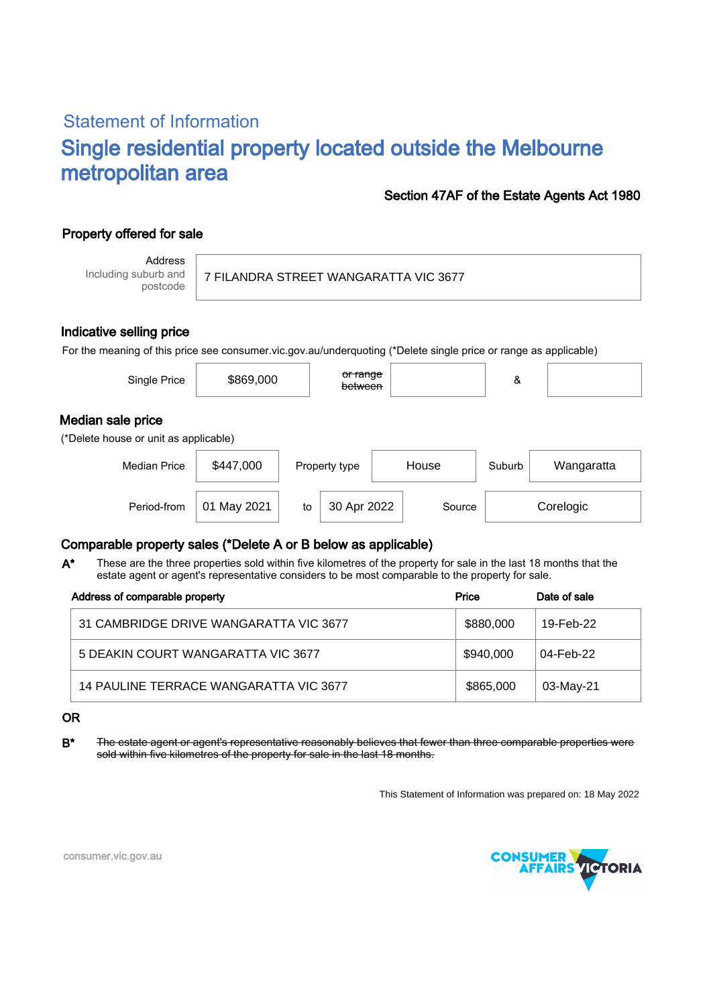# Statement of Information Single residential property located outside the Melbourne metropolitan area

### Section 47AF of the Estate Agents Act 1980

## Property offered for sale

Address Including suburb and postcode

#### 7 FILANDRA STREET WANGARATTA VIC 3677

#### Indicative selling price

For the meaning of this price see consumer.vic.gov.au/underquoting (\*Delete single price or range as applicable)

| Single Price                                               | \$869,000      |               | <del>or range</del><br>between |       |        | &                    |           |  |  |  |
|------------------------------------------------------------|----------------|---------------|--------------------------------|-------|--------|----------------------|-----------|--|--|--|
| Median sale price<br>(*Delete house or unit as applicable) |                |               |                                |       |        |                      |           |  |  |  |
| <b>Median Price</b>                                        | \$447,000      | Property type |                                | House |        | Suburb<br>Wangaratta |           |  |  |  |
| Period-from                                                | May 2021<br>01 | to            | 30 Apr 2022                    |       | Source |                      | Corelogic |  |  |  |

### Comparable property sales (\*Delete A or B below as applicable)

These are the three properties sold within five kilometres of the property for sale in the last 18 months that the estate agent or agent's representative considers to be most comparable to the property for sale. A\*

| Address of comparable property         | Price     | Date of sale |  |
|----------------------------------------|-----------|--------------|--|
| 31 CAMBRIDGE DRIVE WANGARATTA VIC 3677 | \$880,000 | 19-Feb-22    |  |
| 5 DEAKIN COURT WANGARATTA VIC 3677     | \$940,000 | 04-Feb-22    |  |
| 14 PAULINE TERRACE WANGARATTA VIC 3677 | \$865,000 | 03-May-21    |  |

#### OR

B<sup>\*</sup> The estate agent or agent's representative reasonably believes that fewer than three comparable properties were sold within five kilometres of the property for sale in the last 18 months.

This Statement of Information was prepared on: 18 May 2022



consumer.vic.gov.au